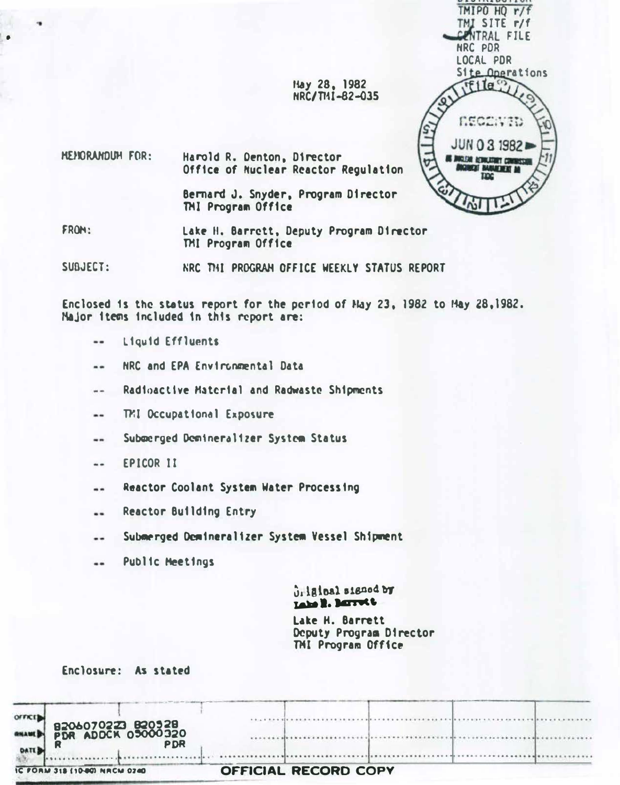

**Hay 28, 1982** NRC/T11-82-035

HENORANDUM FOR: Harold R. Denton, Director Office of Nuclear Reactor Regulation

> Bernard J. Snyder, Program Director TMI Program Office

FROM:

Lake H. Barrett, Deputy Program Director TMI Program Office

SUBJFCT: NRC THI PROGRAM OFFICE WEEKLY STATUS REPORT

Enclosed is the status report for the period of May 23, 1982 to May 28,1982. Major items included in this report are:

- Liquid Effluents  $\qquad \qquad -$
- NRC and EPA Environmental Data  $\frac{1}{2}$
- Radioactive Material and Radwaste Shipments  $- -$
- TMI Occupational Exposure  $\overline{a}$
- Submerged Demineralizer System Status ..
- EPICOR II  $\ddotsc$
- **Reactor Coolant System Water Processing**  $-1$
- **Reactor Building Entry**  $\overline{\phantom{a}}$
- Submerged Demineralizer System Vessel Shipment ..
- Public Meetings  $- -$

ulainal signed by Lake 2. BETTEL

Lake H. Barrett Deputy Program Director TMI Program Office

Enclosure: As stated

| IC FORM 318 (10-80) NRCM 0240                         | <b>OFFICIAL RECORD COPY</b> |
|-------------------------------------------------------|-----------------------------|
| B206070223 B20528<br>PDR ADDCK 05000320<br><b>PDR</b> |                             |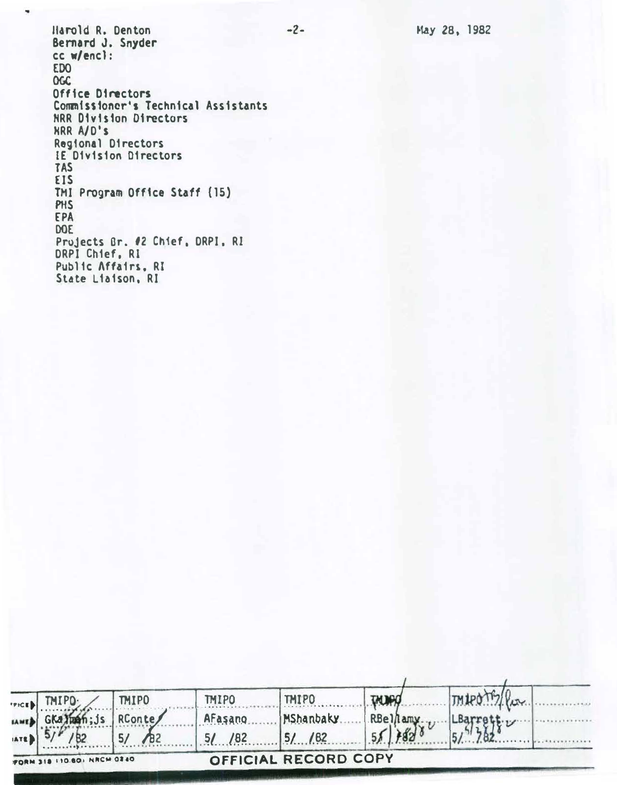May 28, 1982

Harold R. Denton Bernard J. Snyder cc w/encl: **EDO OGC** Office Directors Commissioner's Technical Assistants NRR Division Directors **HRR A/D's** Regional Directors IE Division Directors **TAS** EIS TMI Program Office Staff (15) PHS EPA DOE Projects Br. #2 Chief, DRPI, RI DRPI Chief, RI Public Affairs, RI State Liaison, RI

٠

| FRICE 1        | TMIPO:                     | MIPO             | TMIPO    | <b>TMIPO</b>         | <b>THINPO</b> |  |
|----------------|----------------------------|------------------|----------|----------------------|---------------|--|
|                | LAWED GKaluan; Js RConte   |                  | AFasang  | MShanbaky.           | RBellamy      |  |
| <b>IATED</b> 5 |                            | $\bigwedge_{B2}$ | $5/$ /82 | 15/182               |               |  |
|                | FORM 318 110 801 NRCM 0240 |                  |          | OFFICIAL RECORD COPY |               |  |

 $-2-$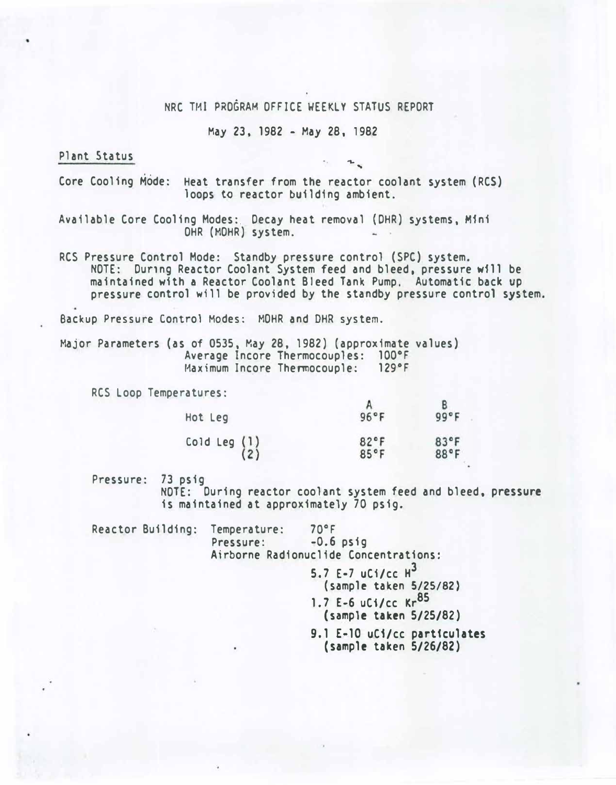## NRC TMI PRO�RAH OFFICE WEEKLY STATUS REPORT

#### May 23, 1982 - May 28, 1982

## Plant Status

. . '\. ..

Core Cooling Mode: Heat transfer from the reactor coolant system (RCS) loops to reactor building ambient.

Available Core Cooling Modes:. Decay heat removal {DHR) systems, Mini OHR (MOHR) system.

RCS Pressure Control Mode: Standby pressure control (SPC) system. NOTE: Dunng Reactor Coolant System feed and bleed, pressure will be maintained with a Reactor Coolant Bleed Tank Pump. Automatic back up pressure control will be provided by the standby pressure control system.

Backup Pressure Control Modes: MOHR and DHR system.

Major Parameters (as of 0535, May 28, 1982) (approximate values) Average Incore Thermocouples: 100°F<br>Maximum Incore Thermocouple: 129°F Maximum Incore Thermocouple:

RCS Loop Temperatures:

| Hot Leg        | 96°F | 99°F |
|----------------|------|------|
| Cold Leg $(1)$ | 82°F | 83°F |
| (2)            | 85°F | 88°F |

Pressure: 73 psig

NOTE: During reactor coolant system feed and bleed, pressure is maintained at approximately 70 psig.

Reactor Building: Temperature: 70°F Pressure: -0.6 psig Airborne Radionuclide Concentrations: 5.7  $E-7$  uCi/cc  $H^3$ (sample taken 5/25/82) 1.7 E-6  $uC$  :  $kr$ <sup>85</sup> (sample taken 5/25/82) 9.1 E-10 uC1/cc particulates (sample taken 5/26/82)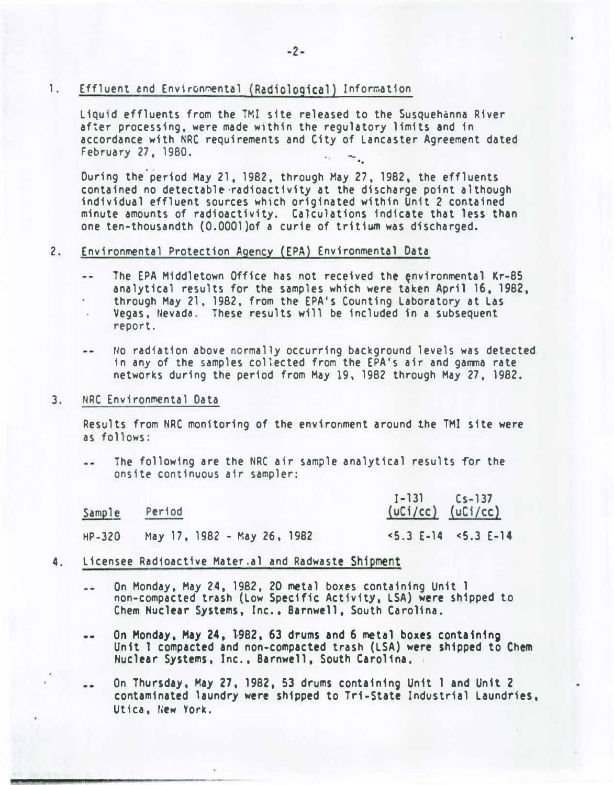## 1. Effluent and Environmental (Radiological) Information

Liquid effluents from the TMI site released to the Susquehanna River after processing, were made within the regulatory limits and in accordance with NRC requirements and City of Lancaster Agreement dated February 27. 1980. \_ ..

During the period May 21, 1982, through May 27, 1982, the effluents contained no detectable·radioactivity at the discharge point although individual effluent sources which originated within Unit 2 contained minute amounts of radioactivity. Calculations indicate that less than one ten-thousandth (O.OOOl)of a curie of tritium was discharged.

#### 2. Environmental Protection Agency {EPA) Environmental Data

- The EPA Middletown Office has not received the environmental Kr-85  $-1$ analytical results for the samples which were taken April 16, 1982, through May 21, 1982, from the EPA•s Counting Laboratory at Las Vegas, Nevada. These results will be included in a subsequent report.
- No radiation above normally occurring background levels was detected in any of the samples collected from the EPA's air and gamma rate networks during the period from May 19, 1982 through May 27, 1982.
- 3. NRC Environmental Data

Results from NRC monitoring of the environment around the TMI site were as follows:

The following are the NRC air sample analytical results for the  $-$ onsite continuous air sampler:

| Sample   |                             | $1 - 131$ $Cs - 137$          |  |
|----------|-----------------------------|-------------------------------|--|
| Period   |                             | $(uCi/cc)$ $(uCi/cc)$         |  |
| $HP-320$ | May 17, 1982 - May 26, 1982 | $\le 5.3$ E-14 $\le 5.3$ E-14 |  |

- 4. Licensee Radioactive Mater.al and Radwaste Shipment
	- On Monday, May 24, 1982, 20 metal boxes containing Unit 1  $\overline{\phantom{a}}$ non-compacted trash (Low Specific Activity, LSA) were shipped to Chem Nuclear Systems, Inc., Barnwell, South Carolina.
	- On Monday, May 24, 1-982, 63 drums and 6 metal boxes containing  $\cdots$ Unit 1 compacted and non-compacted trash (LSA) were shipped to Chern Nuclear Systems, Inc., Barnwell, South Carolina.
	- On Thursday, May 27, 1982, 53 drums containing Unit 1 and Un1t 2 contaminated laundry were shipped to Tri-State Industrial Laundries, Utica, New York.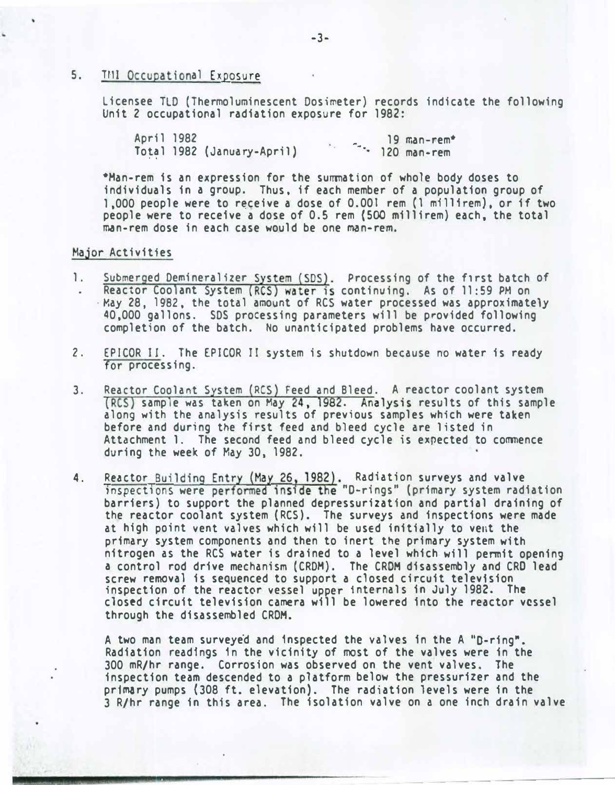## 5. TMI Occupational Exposure

Licensee TLD (Thermoluminescent Dosimeter) records indicate the following Unit 2 occupational radiation exposure for 1982:

April 1982 To��l 1982 (January-April}  $\sim$  19 man-rem $\star$  $\cdot$  120 man-rem

\*Man-rem is an expression for the summation of whole body doses to individuals in a group. Thus, if each member of a population group of 1.000 people were to receive a dose of 0.001 rem (1 millirem), or if two people were to receive a dose of 0.5 rem (500 millirem) each, the total man-rem dose in each case would be one man-rem.

#### Major Activities

- 1. Submerged Demineralizer System (SDS). Processing of the first batch of Reactor Coolant System (RCS) water is continuing. As of 11:59 PM on ·May 28, 1982, the total amount of RCS water processed was approximately 40,000 gallons. SDS processing parameters will be provided following completion of the batch. No unanticipated problems have occurred.
- 2. EPICOR II. The EPICOR II system is shutdown because no water is ready for processing.
- 3. Reactor Coolant System (RCS) Feed and Bleed. A reactor coolant system (RCS) sample was taken on May 24, 1982. Analysis results of this sample along with the analysis results of previous samples which were taken before and during the first feed and bleed cycle are listed in Attachment 1. The second feed and bleed cycle is expected to commence during the week of May 30, 1982.
- 4. Reactor Building Entry (May 26, 1982). Radiation surveys and valve inspections were performed inside the "D-rings" (primary system radiation barriers) to support the planned depressurization and partial draining of the reactor coolant system (RCS). The surveys and inspections were made at high point vent valves which will be used initially to vent the primary system components and then to inert the primary system with nitrogen as the RCS water is drained to a level which will permit opening a control rod drive mechanism (CRDM). The CROM disassembly and CRO lead screw removal is sequenced to support a closed circuit television inspection of the reactor vessel upper internals in July 1982. The closed circuit television camera will be lowered into the reactor vessel through the disassembled CROM.

A two man team surveyed and inspected the valves in the A "D-ring". Radiation readings 1n the vicinity of most of the valves were in the 300 mR/hr range. Corrosion was observed on the vent valves. The inspection team descended to a platform below the pressurizer and the pr1�ry pumps (308 ft. elevation). The radiation levels were in the 3 R/hr range in this area. The isolation valve on a one inch drain valve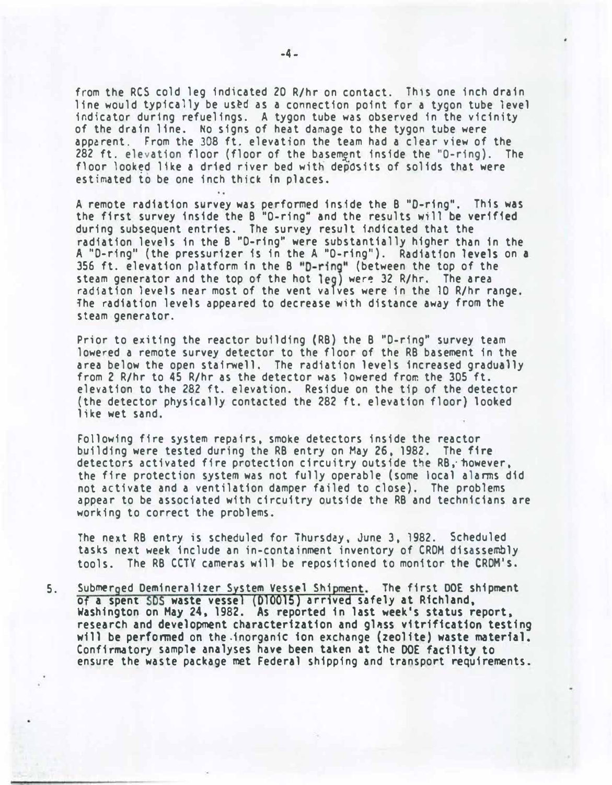from the RCS cold leg indicated 20 R/hr on contact. This one inch drain line would typically be us�d as a connection point for a tygon tube level indicator during refuelings. A tygon tube was observed in the vicinity of the drain line. No signs of heat damage to the tygon tube were apparent. From the 308 ft. elevation the team had a clear view of the 282 ft. elevation floor (floor of the basement inside the "O-ring). The floor looked like a dried river bed with deposits of solids that were estimated to be one inch thick in places.

A remote radiation survey was performed inside the B "D-ring". This was the first survey inside the  $B$  "O-ring" and the results will be verified during subsequent entries. The survey result indicated that the radiation levels in the B "D-ring" were substantially higher than in the A "D-ring" (the pressurizer is in the A "O-ring"). Radiation levels on a 356 ft. elevation platform in the B "D-ring" (between the top of the steam generator and the top of the hot leg) were 32 R/hr. The area radiation levels near most of the vent valves were in the 10 R/hr range. 1he radiation levels appeared to decrease with distance away from the steam generator.

Prior to exiting the reactor building {RB) the B "D-ring" survey team lowered a remote survey detector to the floor of the RB basement in the area below the open stairwell. The radiation levels increased gradually from 2 R/hr to 45 R/hr as the detector was lowered from the 305 ft. elevation to the 282 ft. elevation. Residue on the tip of the detector (the detector physically contacted the 282 ft. elevation floor) looked like wet sand.

Following fire system repairs, smoke detectors inside the reactor building were tested during the RB entry on May 26, 1982. The fire detectors activated fire protection circuitry outside the RB, however, the fire protection system was not fully operable (some local alarms did not activate and a ventilation damper failed to close). The problems appear to be associated with circuitry outside the RB and technicians are working to correct the problems.

The next RB entry is scheduled for Thursday, June 3, 1982. Scheduled tasks next week include an in-containment inventory of CRDM disassembly tools. The RB CCTY cameras will be repositioned to monitor the CRDM's.

5. Submerged Demineralizer System Vessel Shipment. The first DOE shipment of a spent SDS waste vessel (D10015) arrived safely at Richland, washington on Hay 24, 1982. As reported in last week's status report, research and development characterization and gl�ss vitrification testing will be perfonmed on the.inorganic ion exchange (zeolite) waste material. Confinmatory sample analyses have been taken at the DOE facility to ensure the waste package met Federal shipping and transport requirements.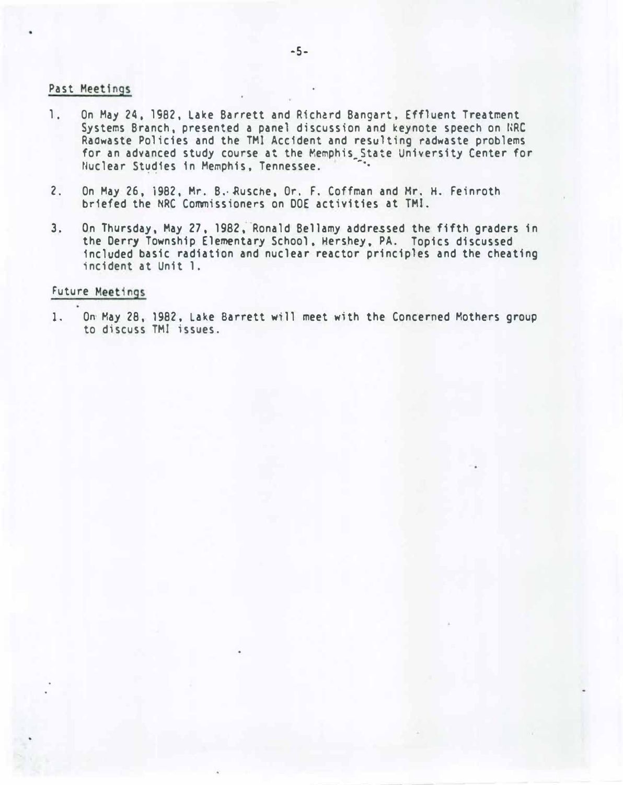### Past Meetings

- 1. On May 24, 1982, Lake Barrett and Richard Bangart, Effluent Treatment Systems Branch, presented a panel discussion and keynote speech on WRC Raowaste Policies and the TMI Accident and resulting radwaste problems for an advanced study course at the Memphis\_State University Center for Nuclear Studies in Memphis, Tennessee.
- 2. On May 26, 1982, Mr. B. Rusche, Or. F. Coffman and Mr. H. Feinroth briefed the NRC Commissioners on DOE activities at TMI.
- 3. On Thursday, May 27, 1982, Ronald Bellamy addressed the fifth graders in the Derry Township Elementary School. Hershey, PA. Topics discussed included basic radiation and nuclear reactor principles and the cheating incident at Unit 1.

## Future Meetings

1. On May 28, 1982, Lake Barrett will meet with the Concerned Mothers group to discuss TMI issues.